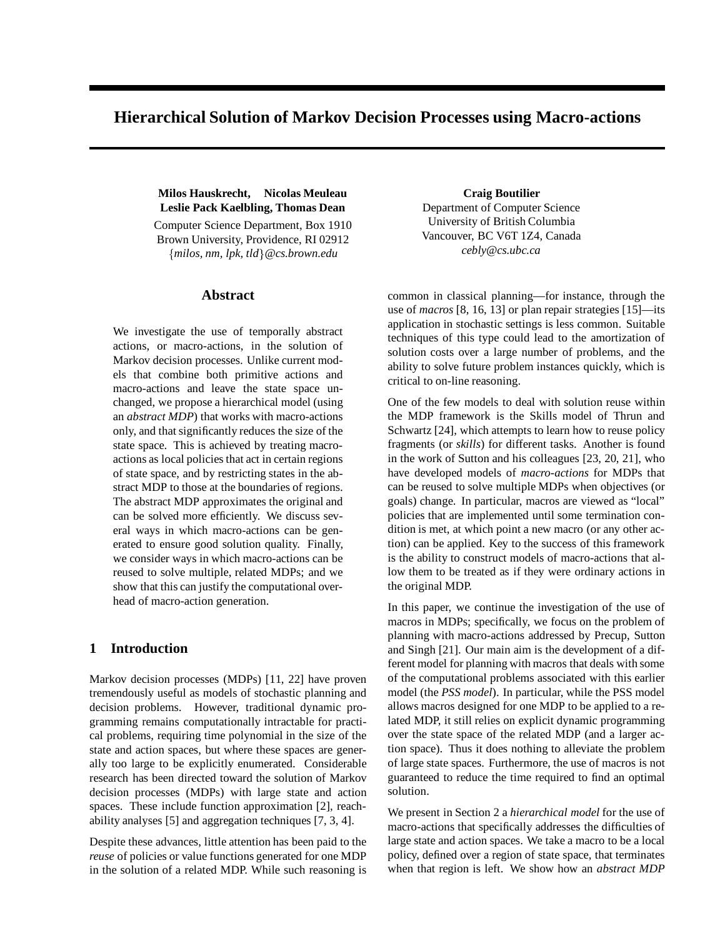# **Hierarchical Solution of Markov Decision Processes using Macro-actions**

### **Milos Hauskrecht, Nicolas Meuleau Leslie Pack Kaelbling, Thomas Dean**

Computer Science Department, Box 1910 Brown University, Providence, RI 02912 <sup>f</sup>*milos, nm, lpk, tld*g*@cs.brown.edu*

### **Abstract**

We investigate the use of temporally abstract actions, or macro-actions, in the solution of Markov decision processes. Unlike current models that combine both primitive actions and macro-actions and leave the state space unchanged, we propose a hierarchical model (using an *abstract MDP*) that works with macro-actions only, and that significantly reduces the size of the state space. This is achieved by treating macroactions as local policies that act in certain regions of state space, and by restricting states in the abstract MDP to those at the boundaries of regions. The abstract MDP approximates the original and can be solved more efficiently. We discuss several ways in which macro-actions can be generated to ensure good solution quality. Finally, we consider ways in which macro-actions can be reused to solve multiple, related MDPs; and we show that this can justify the computational overhead of macro-action generation.

# **1 Introduction**

Markov decision processes (MDPs) [11, 22] have proven tremendously useful as models of stochastic planning and decision problems. However, traditional dynamic programming remains computationally intractable for practical problems, requiring time polynomial in the size of the state and action spaces, but where these spaces are generally too large to be explicitly enumerated. Considerable research has been directed toward the solution of Markov decision processes (MDPs) with large state and action spaces. These include function approximation [2], reachability analyses [5] and aggregation techniques [7, 3, 4].

Despite these advances, little attention has been paid to the *reuse* of policies or value functions generated for one MDP in the solution of a related MDP. While such reasoning is

**Craig Boutilier** Department of Computer Science University of British Columbia Vancouver, BC V6T 1Z4, Canada *cebly@cs.ubc.ca*

common in classical planning—for instance, through the use of *macros* [8, 16, 13] or plan repair strategies [15]—its application in stochastic settings is less common. Suitable techniques of this type could lead to the amortization of solution costs over a large number of problems, and the ability to solve future problem instances quickly, which is critical to on-line reasoning.

One of the few models to deal with solution reuse within the MDP framework is the Skills model of Thrun and Schwartz [24], which attempts to learn how to reuse policy fragments (or *skills*) for different tasks. Another is found in the work of Sutton and his colleagues [23, 20, 21], who have developed models of *macro-actions* for MDPs that can be reused to solve multiple MDPs when objectives (or goals) change. In particular, macros are viewed as "local" policies that are implemented until some termination condition is met, at which point a new macro (or any other action) can be applied. Key to the success of this framework is the ability to construct models of macro-actions that allow them to be treated as if they were ordinary actions in the original MDP.

In this paper, we continue the investigation of the use of macros in MDPs; specifically, we focus on the problem of planning with macro-actions addressed by Precup, Sutton and Singh [21]. Our main aim is the development of a different model for planning with macros that deals with some of the computational problems associated with this earlier model (the *PSS model*). In particular, while the PSS model allows macros designed for one MDP to be applied to a related MDP, it still relies on explicit dynamic programming over the state space of the related MDP (and a larger action space). Thus it does nothing to alleviate the problem of large state spaces. Furthermore, the use of macros is not guaranteed to reduce the time required to find an optimal solution.

We present in Section 2 a *hierarchical model* for the use of macro-actions that specifically addresses the difficulties of large state and action spaces. We take a macro to be a local policy, defined over a region of state space, that terminates when that region is left. We show how an *abstract MDP*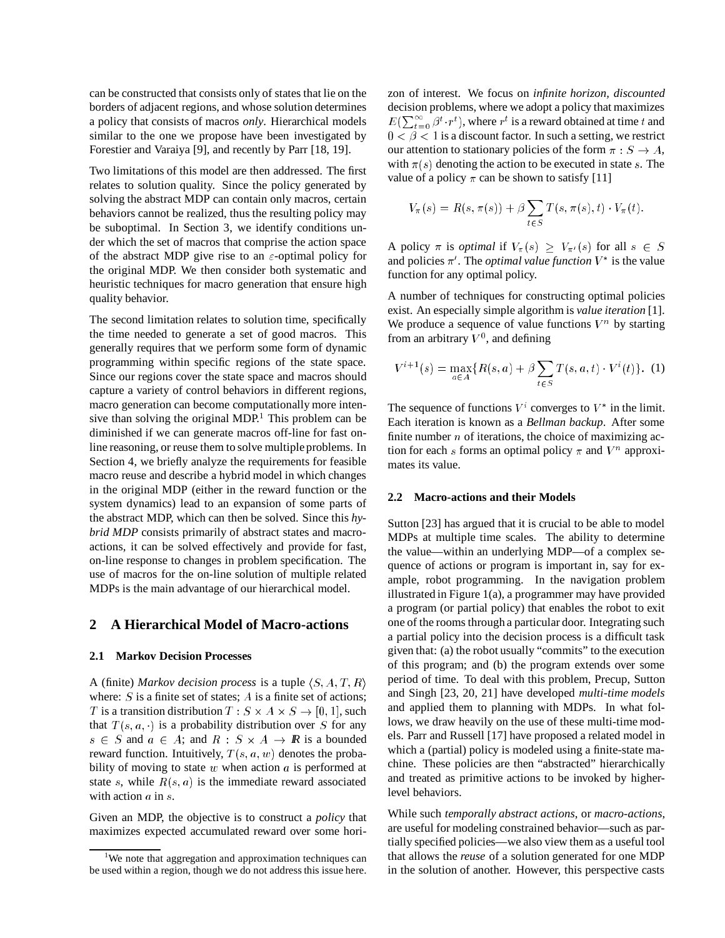can be constructed that consists only of states that lie on the borders of adjacent regions, and whose solution determines a policy that consists of macros *only*. Hierarchical models similar to the one we propose have been investigated by Forestier and Varaiya [9], and recently by Parr [18, 19].

Two limitations of this model are then addressed. The first relates to solution quality. Since the policy generated by solving the abstract MDP can contain only macros, certain behaviors cannot be realized, thus the resulting policy may be suboptimal. In Section 3, we identify conditions under which the set of macros that comprise the action space of the abstract MDP give rise to an  $\varepsilon$ -optimal policy for the original MDP. We then consider both systematic and heuristic techniques for macro generation that ensure high quality behavior.

The second limitation relates to solution time, specifically the time needed to generate a set of good macros. This generally requires that we perform some form of dynamic programming within specific regions of the state space. Since our regions cover the state space and macros should capture a variety of control behaviors in different regions, macro generation can become computationally more intensive than solving the original MDP.<sup>1</sup> This problem can be diminished if we can generate macros off-line for fast online reasoning, or reuse them to solve multiple problems. In Section 4, we briefly analyze the requirements for feasible macro reuse and describe a hybrid model in which changes in the original MDP (either in the reward function or the system dynamics) lead to an expansion of some parts of the abstract MDP, which can then be solved. Since this *hybrid MDP* consists primarily of abstract states and macroactions, it can be solved effectively and provide for fast, on-line response to changes in problem specification. The use of macros for the on-line solution of multiple related MDPs is the main advantage of our hierarchical model.

### **2 A Hierarchical Model of Macro-actions**

### **2.1 Markov Decision Processes**

A (finite) *Markov decision process* is a tuple  $\langle S, A, T, R \rangle$ where:  $S$  is a finite set of states;  $A$  is a finite set of actions; T is a transition distribution  $T : S \times A \times S \rightarrow [0, 1]$ , such that  $T(s, a, \cdot)$  is a probability distribution over S for any  $s \in S$  and  $a \in A$ ; and  $R : S \times A \rightarrow \mathbb{R}$  is a bounded reward function. Intuitively,  $T(s, a, w)$  denotes the probability of moving to state  $w$  when action  $a$  is performed at state s, while  $R(s, a)$  is the immediate reward associated with action  $a$  in  $s$ .

Given an MDP, the objective is to construct a *policy* that maximizes expected accumulated reward over some horizon of interest. We focus on *infinite horizon, discounted* decision problems, where we adopt a policy that maximizes  $E(\sum_{t=0}^{\infty} \beta^t \cdot r^t)$ , where  $r^t$  is a reward obtained at time t and  $0 < \beta < 1$  is a discount factor. In such a setting, we restrict our attention to stationary policies of the form  $\pi : S \to A$ , with  $\pi(s)$  denoting the action to be executed in state s. The value of a policy  $\pi$  can be shown to satisfy [11]

$$
V_{\pi}(s) = R(s, \pi(s)) + \beta \sum_{t \in S} T(s, \pi(s), t) \cdot V_{\pi}(t).
$$

A policy  $\pi$  is *optimal* if  $V_{\pi}(s) \geq V_{\pi}(s)$  for all  $s \in S$ and policies  $\pi'$ . The *optimal value function*  $V^*$  is the value function for any optimal policy.

A number of techniques for constructing optimal policies exist. An especially simple algorithm is *value iteration* [1]. We produce a sequence of value functions  $V^n$  by starting from an arbitrary  $V^0$ , and defining

$$
V^{i+1}(s) = \max_{a \in A} \{ R(s, a) + \beta \sum_{t \in S} T(s, a, t) \cdot V^{i}(t) \}. \tag{1}
$$

The sequence of functions  $V^i$  converges to  $V^*$  in the limit. Each iteration is known as a *Bellman backup*. After some finite number  $n$  of iterations, the choice of maximizing action for each s forms an optimal policy  $\pi$  and  $V^n$  approximates its value.

### **2.2 Macro-actions and their Models**

Sutton [23] has argued that it is crucial to be able to model MDPs at multiple time scales. The ability to determine the value—within an underlying MDP—of a complex sequence of actions or program is important in, say for example, robot programming. In the navigation problem illustrated in Figure 1(a), a programmer may have provided a program (or partial policy) that enables the robot to exit one of the rooms through a particular door. Integrating such a partial policy into the decision process is a difficult task given that: (a) the robot usually "commits" to the execution of this program; and (b) the program extends over some period of time. To deal with this problem, Precup, Sutton and Singh [23, 20, 21] have developed *multi-time models* and applied them to planning with MDPs. In what follows, we draw heavily on the use of these multi-time models. Parr and Russell [17] have proposed a related model in which a (partial) policy is modeled using a finite-state machine. These policies are then "abstracted" hierarchically and treated as primitive actions to be invoked by higherlevel behaviors.

While such *temporally abstract actions*, or *macro-actions*, are useful for modeling constrained behavior—such as partially specified policies—we also view them as a useful tool that allows the *reuse* of a solution generated for one MDP in the solution of another. However, this perspective casts

<sup>&</sup>lt;sup>1</sup>We note that aggregation and approximation techniques can be used within a region, though we do not address this issue here.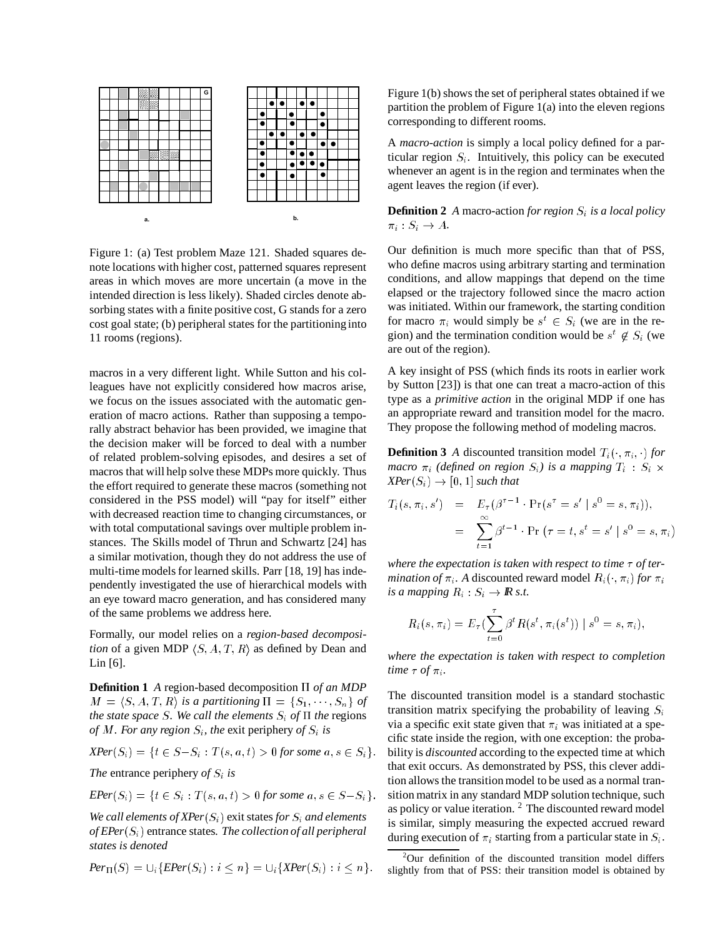

Figure 1: (a) Test problem Maze 121. Shaded squares denote locations with higher cost, patterned squares represent areas in which moves are more uncertain (a move in the intended direction is less likely). Shaded circles denote absorbing states with a finite positive cost, G stands for a zero cost goal state; (b) peripheral states for the partitioning into 11 rooms (regions).

macros in a very different light. While Sutton and his colleagues have not explicitly considered how macros arise, we focus on the issues associated with the automatic generation of macro actions. Rather than supposing a temporally abstract behavior has been provided, we imagine that the decision maker will be forced to deal with a number of related problem-solving episodes, and desires a set of macros that will help solve these MDPs more quickly. Thus the effort required to generate these macros (something not considered in the PSS model) will "pay for itself" either with decreased reaction time to changing circumstances, or with total computational savings over multiple problem instances. The Skills model of Thrun and Schwartz [24] has a similar motivation, though they do not address the use of multi-time models for learned skills. Parr [18, 19] has independently investigated the use of hierarchical models with an eye toward macro generation, and has considered many of the same problems we address here.

Formally, our model relies on a *region-based decomposition* of a given MDP  $\langle S, A, T, R \rangle$  as defined by Dean and Lin [6].

**Definition 1** *A* region-based decomposition *of an MDP*  $M = \langle S, A, T, R \rangle$  *is a partitioning*  $\Pi = \{S_1, \dots, S_n\}$  *of the state space S. We call the elements*  $S_i$  *of*  $\Pi$  *the* regions *of* M. For any region  $S_i$ , the exit periphery of  $S_i$  is

$$
XPer(S_i) = \{t \in S - S_i : T(s, a, t) > 0 \text{ for some } a, s \in S_i\}.
$$

*The* entrance periphery *of*  $S_i$  *is* 

 $EPer(S_i) = \{t \in S_i : T(s, a, t) > 0 \text{ for some } a, s \in S - S_i\}.$ 

*We call elements of XPer*( $S_i$ ) exit states *for*  $S_i$  *and elements*  $of EPer(S<sub>i</sub>)$  entrance states. The collection of all peripheral *states is denoted*

$$
Per_{\Pi}(S) = \cup_i \{ EPer(S_i) : i \leq n \} = \cup_i \{ XPer(S_i) : i \leq n \}.
$$

Figure 1(b) shows the set of peripheral states obtained if we partition the problem of Figure 1(a) into the eleven regions corresponding to different rooms.

A *macro-action* is simply a local policy defined for a particular region  $S_i$ . Intuitively, this policy can be executed whenever an agent is in the region and terminates when the agent leaves the region (if ever).

**Definition 2** *A* macro-action *for region*  $S_i$  *is a local policy*  $\pi_i : S_i \to A$ .

Our definition is much more specific than that of PSS, who define macros using arbitrary starting and termination conditions, and allow mappings that depend on the time elapsed or the trajectory followed since the macro action was initiated. Within our framework, the starting condition for macro  $\pi_i$  would simply be  $s^t \in S_i$  (we are in the region) and the termination condition would be  $s^t \notin S_i$  (we are out of the region).

A key insight of PSS (which finds its roots in earlier work by Sutton [23]) is that one can treat a macro-action of this type as a *primitive action* in the original MDP if one has an appropriate reward and transition model for the macro. They propose the following method of modeling macros.

**Definition 3** *A* discounted transition model  $T_i(\cdot, \pi_i, \cdot)$  *for macro*  $\pi_i$  *(defined on region*  $S_i$ *) is a mapping*  $T_i$  :  $S_i$   $\times$  $XPer(S_i) \rightarrow [0, 1]$  *such that* 

$$
T_i(s, \pi_i, s') = E_{\tau}(\beta^{\tau-1} \cdot \Pr(s^{\tau} = s' \mid s^0 = s, \pi_i)),
$$
  
= 
$$
\sum_{t=1}^{\infty} \beta^{t-1} \cdot \Pr(\tau = t, s^t = s' \mid s^0 = s, \pi_i)
$$

where the expectation is taken with respect to time  $\tau$  of ter*mination of*  $\pi_i$ . A discounted reward model  $R_i(\cdot, \pi_i)$  *for*  $\pi_i$ *is a mapping*  $R_i : S_i \rightarrow \mathbb{R}$  *s.t.* 

$$
R_i(s, \pi_i) = E_{\tau} \left( \sum_{t=0}^{\tau} \beta^t R(s^t, \pi_i(s^t)) \mid s^0 = s, \pi_i \right),
$$

*where the expectation is taken with respect to completion time*  $\tau$  *of*  $\pi$ <sub>*i*</sub>.

The discounted transition model is a standard stochastic transition matrix specifying the probability of leaving  $S_i$ via a specific exit state given that  $\pi_i$  was initiated at a specific state inside the region, with one exception: the probability is *discounted* according to the expected time at which that exit occurs. As demonstrated by PSS, this clever addition allows the transition model to be used as a normal transition matrix in any standard MDP solution technique, such as policy or value iteration.  $2$  The discounted reward model is similar, simply measuring the expected accrued reward during execution of  $\pi_i$  starting from a particular state in  $S_i$ .

<sup>2</sup>Our definition of the discounted transition model differs slightly from that of PSS: their transition model is obtained by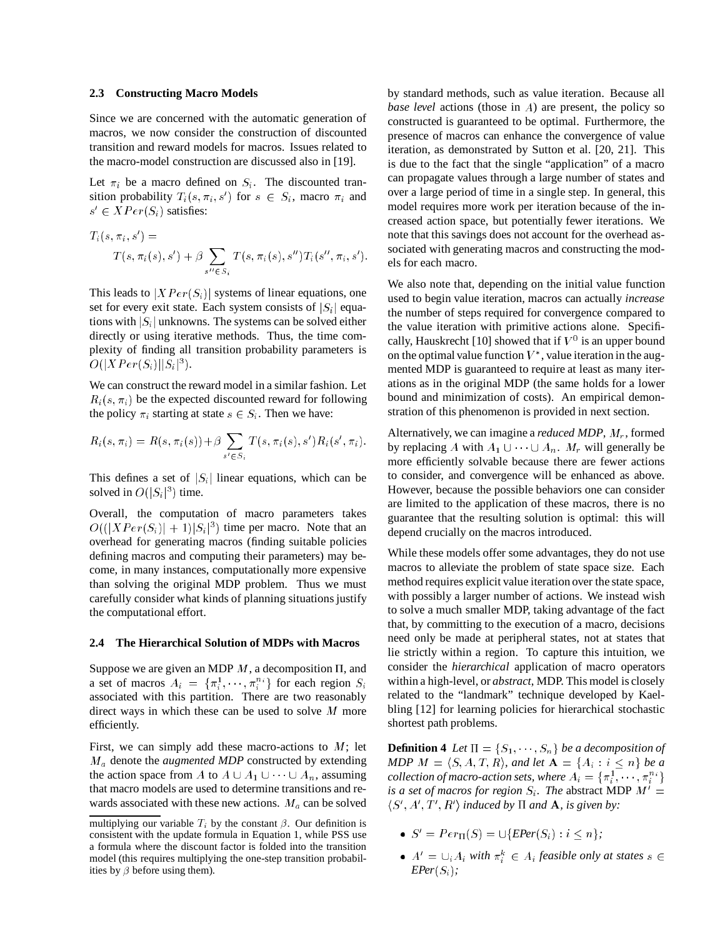#### **2.3 Constructing Macro Models**

Since we are concerned with the automatic generation of macros, we now consider the construction of discounted transition and reward models for macros. Issues related to the macro-model construction are discussed also in [19].

Let  $\pi_i$  be a macro defined on  $S_i$ . The discounted transition probability  $T_i(s, \pi_i, s')$  for  $s \in S_i$ , macro  $\pi_i$  and  $s' \in XPer(S_i)$  satisfies:

$$
T_i(s, \pi_i, s') =
$$
  
 
$$
T(s, \pi_i(s), s') + \beta \sum_{s'' \in S_i} T(s, \pi_i(s), s'') T_i(s'', \pi_i, s').
$$

This leads to  $|XPer(S_i)|$  systems of linear equations, one set for every exit state. Each system consists of  $|S_i|$  equations with  $|S_i|$  unknowns. The systems can be solved either directly or using iterative methods. Thus, the time complexity of finding all transition probability parameters is  $O(|XPer(S_i)||S_i|^3).$ 

We can construct the reward model in a similar fashion. Let  $R_i(s, \pi_i)$  be the expected discounted reward for following the policy  $\pi_i$  starting at state  $s \in S_i$ . Then we have:

$$
R_i(s, \pi_i) = R(s, \pi_i(s)) + \beta \sum_{s' \in S_i} T(s, \pi_i(s), s') R_i(s', \pi_i).
$$

This defines a set of  $|S_i|$  linear equations, which can be solved in  $O(|S_i|^3)$  time.

Overall, the computation of macro parameters takes  $O((|XPer(S_i)|+1)|S_i|^3)$  time per macro. Note that an overhead for generating macros (finding suitable policies defining macros and computing their parameters) may become, in many instances, computationally more expensive than solving the original MDP problem. Thus we must carefully consider what kinds of planning situations justify the computational effort.

#### **2.4 The Hierarchical Solution of MDPs with Macros**

Suppose we are given an MDP  $M$ , a decomposition  $\Pi$ , and a set of macros  $A_i = \{\pi_i^1, \dots, \pi_i^{n_i}\}\$ for each region  $S_i$ associated with this partition. There are two reasonably direct ways in which these can be used to solve  $M$  more efficiently.

First, we can simply add these macro-actions to  $M$ ; let Ma denote the *augmented MDP* constructed by extending the action space from A to  $A \cup A_1 \cup \cdots \cup A_n$ , assuming that macro models are used to determine transitions and rewards associated with these new actions.  $M_a$  can be solved

by standard methods, such as value iteration. Because all *base level* actions (those in <sup>A</sup>) are present, the policy so constructed is guaranteed to be optimal. Furthermore, the presence of macros can enhance the convergence of value iteration, as demonstrated by Sutton et al. [20, 21]. This is due to the fact that the single "application" of a macro can propagate values through a large number of states and over a large period of time in a single step. In general, this model requires more work per iteration because of the increased action space, but potentially fewer iterations. We note that this savings does not account for the overhead associated with generating macros and constructing the models for each macro.

We also note that, depending on the initial value function used to begin value iteration, macros can actually *increase* the number of steps required for convergence compared to the value iteration with primitive actions alone. Specifically, Hauskrecht [10] showed that if  $V^0$  is an upper bound on the optimal value function  $V^*$ , value iteration in the augmented MDP is guaranteed to require at least as many iterations as in the original MDP (the same holds for a lower bound and minimization of costs). An empirical demonstration of this phenomenon is provided in next section.

Alternatively, we can imagine a *reduced MDP*,  $M_r$ , formed by replacing A with  $A_1 \cup \cdots \cup A_n$ .  $M_r$  will generally be more efficiently solvable because there are fewer actions to consider, and convergence will be enhanced as above. However, because the possible behaviors one can consider are limited to the application of these macros, there is no guarantee that the resulting solution is optimal: this will depend crucially on the macros introduced.

While these models offer some advantages, they do not use macros to alleviate the problem of state space size. Each method requires explicit value iteration over the state space, with possibly a larger number of actions. We instead wish to solve a much smaller MDP, taking advantage of the fact that, by committing to the execution of a macro, decisions need only be made at peripheral states, not at states that lie strictly within a region. To capture this intuition, we consider the *hierarchical* application of macro operators within a high-level, or *abstract*, MDP. This model is closely related to the "landmark" technique developed by Kaelbling [12] for learning policies for hierarchical stochastic shortest path problems.

**Definition 4** *Let*  $\Pi = \{S_1, \dots, S_n\}$  *be a decomposition of MDP*  $M = \langle S, A, T, R \rangle$ *, and let*  $A = \{A_i : i \leq n\}$  *be a collection of macro-action sets, where*  $A_i = \{\pi_i^1, \cdots, \pi_i^{n_i}\}$ *is a set of macros for region*  $S_i$ . The abstract MDP  $M' =$  $\langle S', A', T', R' \rangle$  *induced by*  $\Pi$  *and* **A***, is given by:* 

- $S' = Per_{\Pi}(S) = \cup \{EPer(S_i) : i \leq n\};$
- $A' = \bigcup_i A_i$  *with*  $\pi_i^k \in A_i$  *feasible only at states*  $s \in \mathcal{A}$  $EPer(S_i)$ ;

multiplying our variable  $T_i$  by the constant  $\beta$ . Our definition is consistent with the update formula in Equation 1, while PSS use a formula where the discount factor is folded into the transition model (this requires multiplying the one-step transition probabilities by  $\beta$  before using them).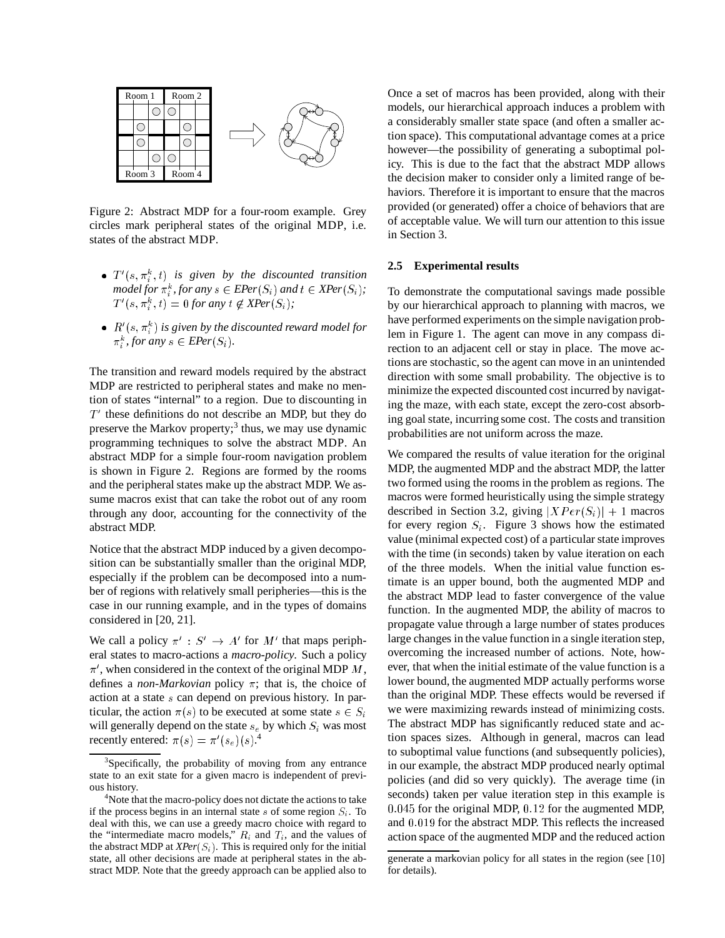

Figure 2: Abstract MDP for a four-room example. Grey circles mark peripheral states of the original MDP, i.e. states of the abstract MDP.

- $T'(s, \pi_i^k, t)$  is given by the discounted transition  $\mathit{model}\$ for  $\pi_i^k$ , for any  $s \in EPer(S_i)\$  and  $t \in XPer(S_i)$ ;  $T'(s, \pi_i^k, t) = 0$  for any  $t \notin XPer(S_i)$ ;
- $\bullet$   $R'(s, \pi_i^k)$  is given by the discounted reward model for  $\pi_i^k$ , for any  $s \in EPer(S_i)$ .

The transition and reward models required by the abstract MDP are restricted to peripheral states and make no mention of states "internal" to a region. Due to discounting in  $T'$  these definitions do not describe an MDP, but they do preserve the Markov property;<sup>3</sup> thus, we may use dynamic programming techniques to solve the abstract MDP. An abstract MDP for a simple four-room navigation problem is shown in Figure 2. Regions are formed by the rooms and the peripheral states make up the abstract MDP. We assume macros exist that can take the robot out of any room through any door, accounting for the connectivity of the abstract MDP.

Notice that the abstract MDP induced by a given decomposition can be substantially smaller than the original MDP, especially if the problem can be decomposed into a number of regions with relatively small peripheries—this is the case in our running example, and in the types of domains considered in [20, 21].

We call a policy  $\pi' : S' \to A'$  for M' that maps peripheral states to macro-actions a *macro-policy*. Such a policy  $\pi'$ , when considered in the context of the original MDP  $M$ , defines a *non-Markovian* policy  $\pi$ ; that is, the choice of action at a state <sup>s</sup> can depend on previous history. In particular, the action  $\pi(s)$  to be executed at some state  $s \in S_i$ will generally depend on the state  $s_e$  by which  $S_i$  was most recently entered:  $\pi(s) = \pi'(s_e)(s)$ .<sup>4</sup>

Once a set of macros has been provided, along with their models, our hierarchical approach induces a problem with a considerably smaller state space (and often a smaller action space). This computational advantage comes at a price however—the possibility of generating a suboptimal policy. This is due to the fact that the abstract MDP allows the decision maker to consider only a limited range of behaviors. Therefore it is important to ensure that the macros provided (or generated) offer a choice of behaviors that are of acceptable value. We will turn our attention to this issue in Section 3.

### **2.5 Experimental results**

To demonstrate the computational savings made possible by our hierarchical approach to planning with macros, we have performed experiments on the simple navigation problem in Figure 1. The agent can move in any compass direction to an adjacent cell or stay in place. The move actions are stochastic, so the agent can move in an unintended direction with some small probability. The objective is to minimize the expected discounted cost incurred by navigating the maze, with each state, except the zero-cost absorbing goal state, incurring some cost. The costs and transition probabilities are not uniform across the maze.

We compared the results of value iteration for the original MDP, the augmented MDP and the abstract MDP, the latter two formed using the rooms in the problem as regions. The macros were formed heuristically using the simple strategy described in Section 3.2, giving  $|XPer(S_i)| + 1$  macros for every region  $S_i$ . Figure 3 shows how the estimated value (minimal expected cost) of a particular state improves with the time (in seconds) taken by value iteration on each of the three models. When the initial value function estimate is an upper bound, both the augmented MDP and the abstract MDP lead to faster convergence of the value function. In the augmented MDP, the ability of macros to propagate value through a large number of states produces large changes in the value function in a single iteration step, overcoming the increased number of actions. Note, however, that when the initial estimate of the value function is a lower bound, the augmented MDP actually performs worse than the original MDP. These effects would be reversed if we were maximizing rewards instead of minimizing costs. The abstract MDP has significantly reduced state and action spaces sizes. Although in general, macros can lead to suboptimal value functions (and subsequently policies), in our example, the abstract MDP produced nearly optimal policies (and did so very quickly). The average time (in seconds) taken per value iteration step in this example is 0:045 for the original MDP, 0:12 for the augmented MDP, and 0:019 for the abstract MDP. This reflects the increased action space of the augmented MDP and the reduced action

<sup>&</sup>lt;sup>3</sup>Specifically, the probability of moving from any entrance state to an exit state for a given macro is independent of previous history.

<sup>&</sup>lt;sup>4</sup>Note that the macro-policy does not dictate the actions to take if the process begins in an internal state s of some region  $S_i$ . To deal with this, we can use a greedy macro choice with regard to the "intermediate macro models,"  $R_i$  and  $T_i$ , and the values of the abstract MDP at  $XPer(S_i)$ . This is required only for the initial state, all other decisions are made at peripheral states in the abstract MDP. Note that the greedy approach can be applied also to

generate a markovian policy for all states in the region (see [10] for details).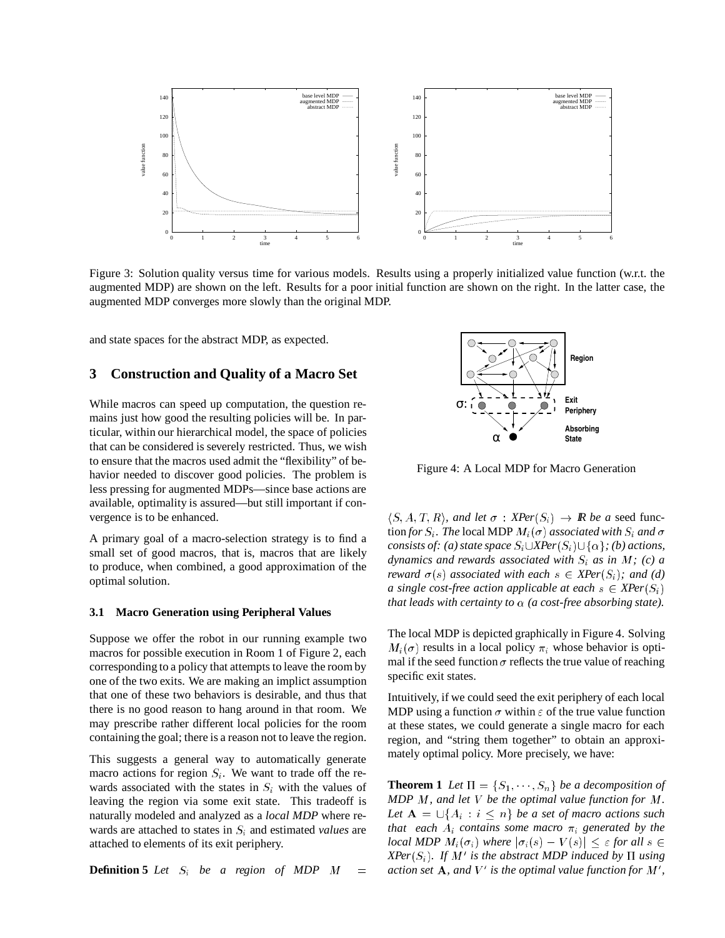

Figure 3: Solution quality versus time for various models. Results using a properly initialized value function (w.r.t. the augmented MDP) are shown on the left. Results for a poor initial function are shown on the right. In the latter case, the augmented MDP converges more slowly than the original MDP.

and state spaces for the abstract MDP, as expected.

## **3 Construction and Quality of a Macro Set**

While macros can speed up computation, the question remains just how good the resulting policies will be. In particular, within our hierarchical model, the space of policies that can be considered is severely restricted. Thus, we wish to ensure that the macros used admit the "flexibility" of behavior needed to discover good policies. The problem is less pressing for augmented MDPs—since base actions are available, optimality is assured—but still important if convergence is to be enhanced.

A primary goal of a macro-selection strategy is to find a small set of good macros, that is, macros that are likely to produce, when combined, a good approximation of the optimal solution.

### **3.1 Macro Generation using Peripheral Values**

Suppose we offer the robot in our running example two macros for possible execution in Room 1 of Figure 2, each corresponding to a policy that attempts to leave the room by one of the two exits. We are making an implict assumption that one of these two behaviors is desirable, and thus that there is no good reason to hang around in that room. We may prescribe rather different local policies for the room containing the goal; there is a reason not to leave the region.

This suggests a general way to automatically generate macro actions for region  $S_i$ . We want to trade off the rewards associated with the states in  $S_i$  with the values of leaving the region via some exit state. This tradeoff is naturally modeled and analyzed as a *local MDP* where rewards are attached to states in  $S_i$  and estimated *values* are attached to elements of its exit periphery.

**Definition 5** *Let*  $S_i$  *be a region of MDP M* =



Figure 4: A Local MDP for Macro Generation

 $\langle S, A, T, R \rangle$ , and let  $\sigma : XPer(S_i) \to \mathbb{R}$  be a seed function *for*  $S_i$ . The local MDP  $M_i(\sigma)$  associated with  $S_i$  and  $\sigma$ *consists of:* (*a) state space*  $S_i \cup XPer(S_i) \cup \{\alpha\}$ ; (*b) actions, dynamics and rewards associated with*  $S_i$  *as in*  $M$ *; (c) a reward*  $\sigma(s)$  *associated with each*  $s \in XPer(S_i)$ *; and (d) a single cost-free action applicable at each*  $s \in XPer(S_i)$ *that leads with certainty to*  $\alpha$  (*a cost-free absorbing state*).

The local MDP is depicted graphically in Figure 4. Solving  $M_i(\sigma)$  results in a local policy  $\pi_i$  whose behavior is optimal if the seed function  $\sigma$  reflects the true value of reaching specific exit states.

Intuitively, if we could seed the exit periphery of each local MDP using a function  $\sigma$  within  $\varepsilon$  of the true value function at these states, we could generate a single macro for each region, and "string them together" to obtain an approximately optimal policy. More precisely, we have:

**Theorem 1** *Let*  $\Pi = \{S_1, \dots, S_n\}$  *be a decomposition of MDP* <sup>M</sup>*, and let* <sup>V</sup> *be the optimal value function for* <sup>M</sup>*.* Let  $A = \bigcup \{A_i : i \leq n\}$  be a set of macro actions such *that each*  $A_i$  *contains some macro*  $\pi_i$  *generated by the local MDP*  $M_i(\sigma_i)$  *where*  $|\sigma_i(s) - V(s)| \leq \varepsilon$  for all  $s \in$  $XPer(S_i)$ . If M' is the abstract MDP induced by  $\Pi$  using action set  $A$ , and  $V'$  is the optimal value function for  $M'$ ,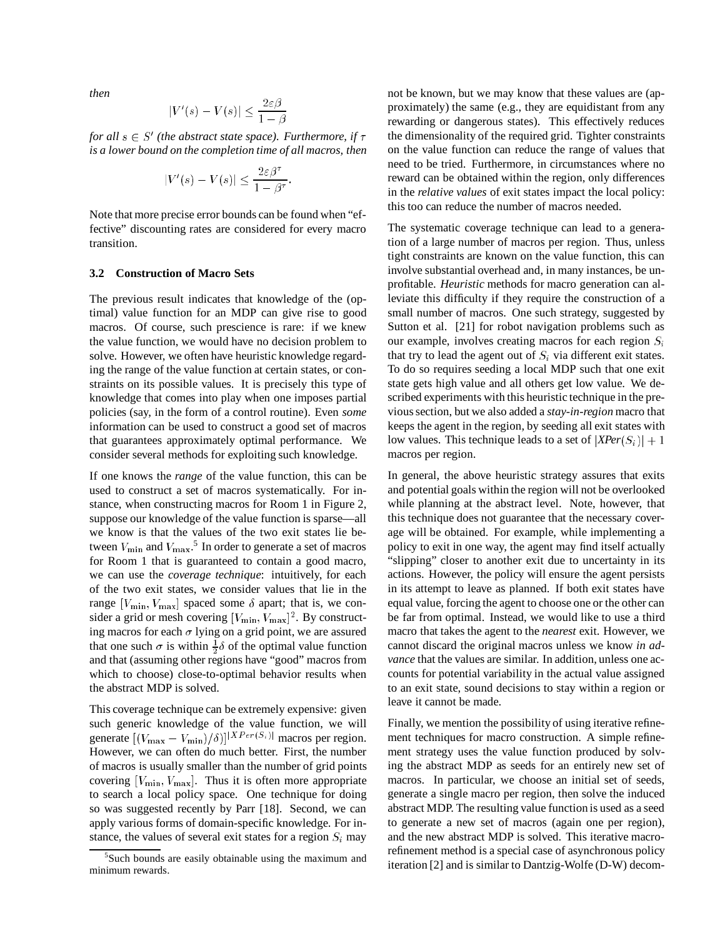*then*

$$
|V'(s) - V(s)| \le \frac{2\varepsilon\beta}{1 - \beta}
$$

for all  $s \in S'$  (the abstract state space). Furthermore, if  $\tau$ *is a lower bound on the completion time of all macros, then*

$$
|V'(s) - V(s)| \le \frac{2\varepsilon\beta^{\tau}}{1 - \beta^{\tau}}.
$$

Note that more precise error bounds can be found when "effective" discounting rates are considered for every macro transition.

#### **3.2 Construction of Macro Sets**

The previous result indicates that knowledge of the (optimal) value function for an MDP can give rise to good macros. Of course, such prescience is rare: if we knew the value function, we would have no decision problem to solve. However, we often have heuristic knowledge regarding the range of the value function at certain states, or constraints on its possible values. It is precisely this type of knowledge that comes into play when one imposes partial policies (say, in the form of a control routine). Even *some* information can be used to construct a good set of macros that guarantees approximately optimal performance. We consider several methods for exploiting such knowledge.

If one knows the *range* of the value function, this can be used to construct a set of macros systematically. For instance, when constructing macros for Room 1 in Figure 2, suppose our knowledge of the value function is sparse—all we know is that the values of the two exit states lie between  $V_{\text{min}}$  and  $V_{\text{max}}$ .<sup>5</sup> In order to generate a set of macros for Room 1 that is guaranteed to contain a good macro, we can use the *coverage technique*: intuitively, for each of the two exit states, we consider values that lie in the range  $[V_{\text{min}}, V_{\text{max}}]$  spaced some  $\delta$  apart; that is, we consider a grid or mesh covering  $[V_{\min}, V_{\max}]^2$ . By constructing macros for each  $\sigma$  lying on a grid point, we are assured that one such  $\sigma$  is within  $\frac{1}{2}\delta$  of the optimal value function and that (assuming other regions have "good" macros from which to choose) close-to-optimal behavior results when the abstract MDP is solved.

This coverage technique can be extremely expensive: given such generic knowledge of the value function, we will generate  $[(V_{\text{max}} - V_{\text{min}})/\delta)]^{|XP_{er}(S_i)|}$  macros per region. However, we can often do much better. First, the number of macros is usually smaller than the number of grid points covering  $[V_{\min}, V_{\max}]$ . Thus it is often more appropriate to search a local policy space. One technique for doing so was suggested recently by Parr [18]. Second, we can apply various forms of domain-specific knowledge. For instance, the values of several exit states for a region  $S_i$  may

not be known, but we may know that these values are (approximately) the same (e.g., they are equidistant from any rewarding or dangerous states). This effectively reduces the dimensionality of the required grid. Tighter constraints on the value function can reduce the range of values that need to be tried. Furthermore, in circumstances where no reward can be obtained within the region, only differences in the *relative values* of exit states impact the local policy: this too can reduce the number of macros needed.

The systematic coverage technique can lead to a generation of a large number of macros per region. Thus, unless tight constraints are known on the value function, this can involve substantial overhead and, in many instances, be unprofitable. *Heuristic* methods for macro generation can alleviate this difficulty if they require the construction of a small number of macros. One such strategy, suggested by Sutton et al. [21] for robot navigation problems such as our example, involves creating macros for each region  $S_i$ that try to lead the agent out of  $S_i$  via different exit states. To do so requires seeding a local MDP such that one exit state gets high value and all others get low value. We described experiments with this heuristic technique in the previous section, but we also added a *stay-in-region* macro that keeps the agent in the region, by seeding all exit states with low values. This technique leads to a set of  $|XPer(S_i)| + 1$ macros per region.

In general, the above heuristic strategy assures that exits and potential goals within the region will not be overlooked while planning at the abstract level. Note, however, that this technique does not guarantee that the necessary coverage will be obtained. For example, while implementing a policy to exit in one way, the agent may find itself actually "slipping" closer to another exit due to uncertainty in its actions. However, the policy will ensure the agent persists in its attempt to leave as planned. If both exit states have equal value, forcing the agent to choose one or the other can be far from optimal. Instead, we would like to use a third macro that takes the agent to the *nearest* exit. However, we cannot discard the original macros unless we know *in advance* that the values are similar. In addition, unless one accounts for potential variability in the actual value assigned to an exit state, sound decisions to stay within a region or leave it cannot be made.

Finally, we mention the possibility of using iterative refinement techniques for macro construction. A simple refinement strategy uses the value function produced by solving the abstract MDP as seeds for an entirely new set of macros. In particular, we choose an initial set of seeds, generate a single macro per region, then solve the induced abstract MDP. The resulting value function is used as a seed to generate a new set of macros (again one per region), and the new abstract MDP is solved. This iterative macrorefinement method is a special case of asynchronous policy iteration [2] and is similar to Dantzig-Wolfe (D-W) decom-

<sup>5</sup>Such bounds are easily obtainable using the maximum and minimum rewards.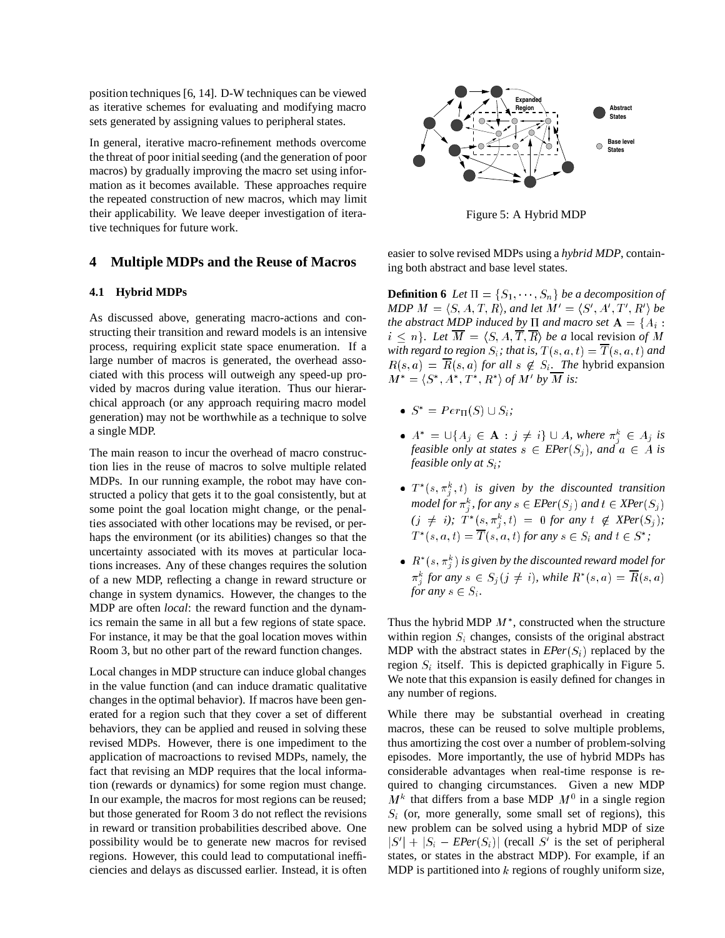position techniques [6, 14]. D-W techniques can be viewed as iterative schemes for evaluating and modifying macro sets generated by assigning values to peripheral states.

In general, iterative macro-refinement methods overcome the threat of poor initial seeding (and the generation of poor macros) by gradually improving the macro set using information as it becomes available. These approaches require the repeated construction of new macros, which may limit their applicability. We leave deeper investigation of iterative techniques for future work.

### **4 Multiple MDPs and the Reuse of Macros**

### **4.1 Hybrid MDPs**

As discussed above, generating macro-actions and constructing their transition and reward models is an intensive process, requiring explicit state space enumeration. If a large number of macros is generated, the overhead associated with this process will outweigh any speed-up provided by macros during value iteration. Thus our hierarchical approach (or any approach requiring macro model generation) may not be worthwhile as a technique to solve a single MDP.

The main reason to incur the overhead of macro construction lies in the reuse of macros to solve multiple related MDPs. In our running example, the robot may have constructed a policy that gets it to the goal consistently, but at some point the goal location might change, or the penalties associated with other locations may be revised, or perhaps the environment (or its abilities) changes so that the uncertainty associated with its moves at particular locations increases. Any of these changes requires the solution of a new MDP, reflecting a change in reward structure or change in system dynamics. However, the changes to the MDP are often *local*: the reward function and the dynamics remain the same in all but a few regions of state space. For instance, it may be that the goal location moves within Room 3, but no other part of the reward function changes.

Local changes in MDP structure can induce global changes in the value function (and can induce dramatic qualitative changes in the optimal behavior). If macros have been generated for a region such that they cover a set of different behaviors, they can be applied and reused in solving these revised MDPs. However, there is one impediment to the application of macroactions to revised MDPs, namely, the fact that revising an MDP requires that the local information (rewards or dynamics) for some region must change. In our example, the macros for most regions can be reused; but those generated for Room 3 do not reflect the revisions in reward or transition probabilities described above. One possibility would be to generate new macros for revised regions. However, this could lead to computational inefficiencies and delays as discussed earlier. Instead, it is often



Figure 5: A Hybrid MDP

easier to solve revised MDPs using a *hybrid MDP*, containing both abstract and base level states.

**Definition 6** *Let*  $\Pi = \{S_1, \dots, S_n\}$  *be a decomposition of*  $MDP \ M = \langle S, A, T, R \rangle$ *, and let*  $M' = \langle S', A', T', R' \rangle$  be *the abstract MDP induced by*  $\Pi$  *and macro set*  $\mathbf{A} = \{A_i : A_i\}$  $i \leq n$ . Let  $\overline{M} = \langle S, A, \overline{T}, \overline{R} \rangle$  *be a* local revision *of* M *with regard to region*  $S_i$ ; that is,  $T(s, a, t) = \overline{T}(s, a, t)$  and  $R(s, a) = \overline{R}(s, a)$  *for all*  $s \notin S_i$ *. The hybrid expansion*  $M^* = \langle S^*, A^*, T^*, R^* \rangle$  of  $M'$  by  $M$  is:

- $S^* = Per_{\Pi}(S) \cup S_i;$
- $A^* = \bigcup \{ A_j \in \mathbf{A} : j \neq i \} \cup A$ , where  $\pi_j^k \in A_j$  is *feasible only at states*  $s \in EPer(S_i)$ *, and*  $a \in A$  *is feasible only at*  $S_i$ ;
- $T^*(s, \pi_j^k, t)$  is given by the discounted transition *model for*  $\pi_j^k$ , *for any*  $s \in EPer(S_j)$  *and*  $t \in XPer(S_j)$  $(j \neq i)$ ;  $T^*(s, \pi_j^k, t) = 0$  *for any*  $t \notin \textit{XPer}(S_j)$ ;  $T^*(s, a, t) = \overline{T}(s, a, t)$  for any  $s \in S_i$  and  $t \in S^*$ ;
- $\bullet~~R^*(s,\pi_j^k)$  is given by the discounted reward model for  $\pi_j^k$  for any  $s \in S_j (j \neq i)$ , while  $R^*(s,a) = \overline{R}(s,a)$ *for any*  $s \in S_i$ *.*

Thus the hybrid MDP  $M^*$ , constructed when the structure within region  $S_i$  changes, consists of the original abstract MDP with the abstract states in  $EPer(S_i)$  replaced by the region  $S_i$  itself. This is depicted graphically in Figure 5. We note that this expansion is easily defined for changes in any number of regions.

While there may be substantial overhead in creating macros, these can be reused to solve multiple problems, thus amortizing the cost over a number of problem-solving episodes. More importantly, the use of hybrid MDPs has considerable advantages when real-time response is required to changing circumstances. Given a new MDP  $M<sup>k</sup>$  that differs from a base MDP  $M<sup>0</sup>$  in a single region  $S_i$  (or, more generally, some small set of regions), this new problem can be solved using a hybrid MDP of size  $|S'| + |S_i - EPer(S_i)|$  (recall S' is the set of peripheral states, or states in the abstract MDP). For example, if an MDP is partitioned into  $k$  regions of roughly uniform size,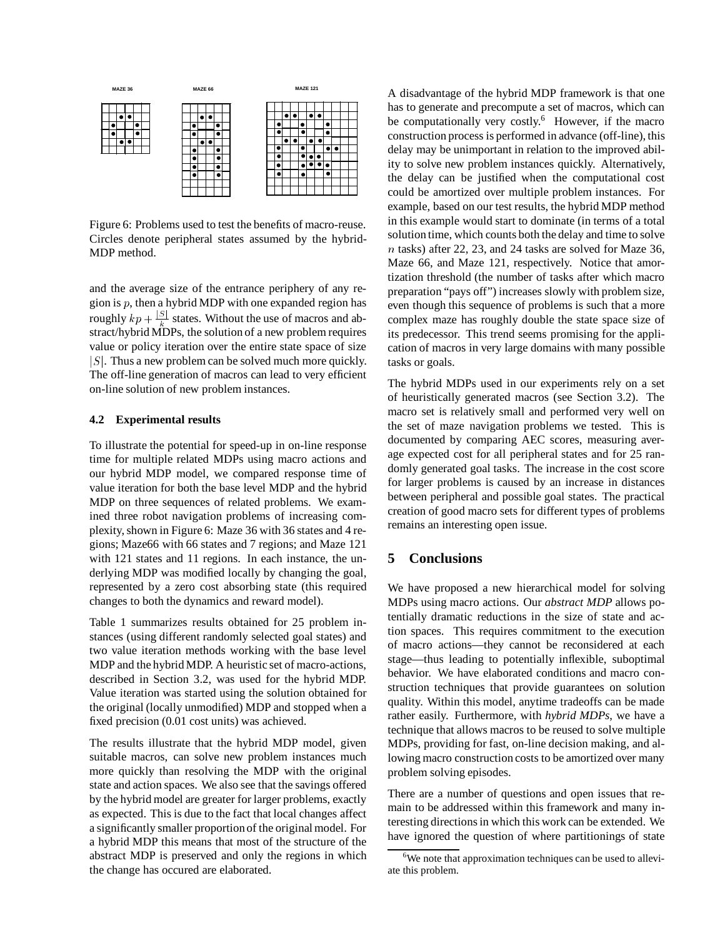

Figure 6: Problems used to test the benefits of macro-reuse. Circles denote peripheral states assumed by the hybrid-MDP method.

and the average size of the entrance periphery of any region is  $p$ , then a hybrid MDP with one expanded region has roughly  $kp + \frac{|S|}{k}$  states. Without the use of macros and abstract/hybrid MDPs, the solution of a new problem requires value or policy iteration over the entire state space of size  $|S|$ . Thus a new problem can be solved much more quickly. The off-line generation of macros can lead to very efficient on-line solution of new problem instances.

### **4.2 Experimental results**

To illustrate the potential for speed-up in on-line response time for multiple related MDPs using macro actions and our hybrid MDP model, we compared response time of value iteration for both the base level MDP and the hybrid MDP on three sequences of related problems. We examined three robot navigation problems of increasing complexity, shown in Figure 6: Maze 36 with 36 states and 4 regions; Maze66 with 66 states and 7 regions; and Maze 121 with 121 states and 11 regions. In each instance, the underlying MDP was modified locally by changing the goal, represented by a zero cost absorbing state (this required changes to both the dynamics and reward model).

Table 1 summarizes results obtained for 25 problem instances (using different randomly selected goal states) and two value iteration methods working with the base level MDP and the hybrid MDP. A heuristic set of macro-actions, described in Section 3.2, was used for the hybrid MDP. Value iteration was started using the solution obtained for the original (locally unmodified) MDP and stopped when a fixed precision (0.01 cost units) was achieved.

The results illustrate that the hybrid MDP model, given suitable macros, can solve new problem instances much more quickly than resolving the MDP with the original state and action spaces. We also see that the savings offered by the hybrid model are greater for larger problems, exactly as expected. This is due to the fact that local changes affect a significantly smaller proportion of the original model. For a hybrid MDP this means that most of the structure of the abstract MDP is preserved and only the regions in which the change has occured are elaborated.

A disadvantage of the hybrid MDP framework is that one has to generate and precompute a set of macros, which can be computationally very costly.<sup>6</sup> However, if the macro construction process is performed in advance (off-line), this delay may be unimportant in relation to the improved ability to solve new problem instances quickly. Alternatively, the delay can be justified when the computational cost could be amortized over multiple problem instances. For example, based on our test results, the hybrid MDP method in this example would start to dominate (in terms of a total solution time, which counts both the delay and time to solve <sup>n</sup> tasks) after 22, 23, and 24 tasks are solved for Maze 36, Maze 66, and Maze 121, respectively. Notice that amortization threshold (the number of tasks after which macro preparation "pays off") increases slowly with problem size, even though this sequence of problems is such that a more complex maze has roughly double the state space size of its predecessor. This trend seems promising for the application of macros in very large domains with many possible tasks or goals.

The hybrid MDPs used in our experiments rely on a set of heuristically generated macros (see Section 3.2). The macro set is relatively small and performed very well on the set of maze navigation problems we tested. This is documented by comparing AEC scores, measuring average expected cost for all peripheral states and for 25 randomly generated goal tasks. The increase in the cost score for larger problems is caused by an increase in distances between peripheral and possible goal states. The practical creation of good macro sets for different types of problems remains an interesting open issue.

### **5 Conclusions**

We have proposed a new hierarchical model for solving MDPs using macro actions. Our *abstract MDP* allows potentially dramatic reductions in the size of state and action spaces. This requires commitment to the execution of macro actions—they cannot be reconsidered at each stage—thus leading to potentially inflexible, suboptimal behavior. We have elaborated conditions and macro construction techniques that provide guarantees on solution quality. Within this model, anytime tradeoffs can be made rather easily. Furthermore, with *hybrid MDPs*, we have a technique that allows macros to be reused to solve multiple MDPs, providing for fast, on-line decision making, and allowing macro construction costs to be amortized over many problem solving episodes.

There are a number of questions and open issues that remain to be addressed within this framework and many interesting directions in which this work can be extended. We have ignored the question of where partitionings of state

<sup>&</sup>lt;sup>6</sup>We note that approximation techniques can be used to alleviate this problem.